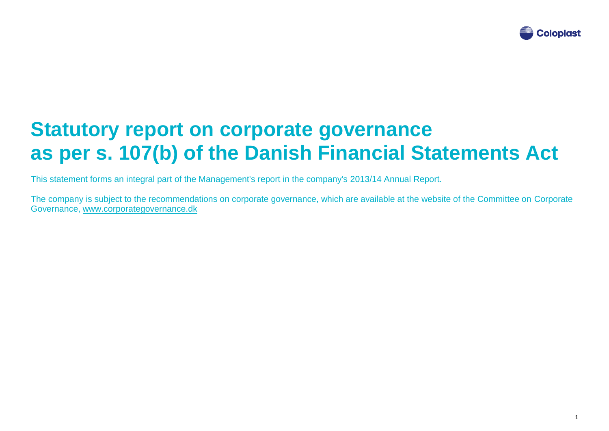

## **Statutory report on corporate governance as per s. 107(b) of the Danish Financial Statements Act**

This statement forms an integral part of the Management's report in the company's 2013/14 Annual Report.

The company is subject to the recommendations on corporate governance, which are available at the website of the Committee on Corporate Governance, [www.corporategovernance.dk](http://www.corporategovernance.dk/)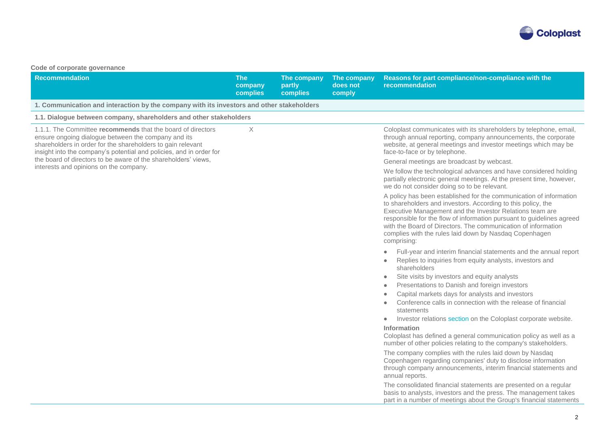

## **Code of corporate governance**

| <b>Recommendation</b>                                                                                                                                                                                                                                    | <b>The</b><br>company<br><b>complies</b> | The company<br>partly<br>complies | The company<br>does not<br>comply | Reasons for part compliance/non-compliance with the<br>recommendation                                                                                                                                                                                                                                                                                                                                                                                                                                                                                                                                                                                                                                                                                                                                                                                                                                                                                            |
|----------------------------------------------------------------------------------------------------------------------------------------------------------------------------------------------------------------------------------------------------------|------------------------------------------|-----------------------------------|-----------------------------------|------------------------------------------------------------------------------------------------------------------------------------------------------------------------------------------------------------------------------------------------------------------------------------------------------------------------------------------------------------------------------------------------------------------------------------------------------------------------------------------------------------------------------------------------------------------------------------------------------------------------------------------------------------------------------------------------------------------------------------------------------------------------------------------------------------------------------------------------------------------------------------------------------------------------------------------------------------------|
| 1. Communication and interaction by the company with its investors and other stakeholders                                                                                                                                                                |                                          |                                   |                                   |                                                                                                                                                                                                                                                                                                                                                                                                                                                                                                                                                                                                                                                                                                                                                                                                                                                                                                                                                                  |
| 1.1. Dialogue between company, shareholders and other stakeholders                                                                                                                                                                                       |                                          |                                   |                                   |                                                                                                                                                                                                                                                                                                                                                                                                                                                                                                                                                                                                                                                                                                                                                                                                                                                                                                                                                                  |
| 1.1.1. The Committee recommends that the board of directors<br>ensure ongoing dialogue between the company and its<br>shareholders in order for the shareholders to gain relevant<br>insight into the company's potential and policies, and in order for | $\times$                                 |                                   |                                   | Coloplast communicates with its shareholders by telephone, email,<br>through annual reporting, company announcements, the corporate<br>website, at general meetings and investor meetings which may be<br>face-to-face or by telephone.                                                                                                                                                                                                                                                                                                                                                                                                                                                                                                                                                                                                                                                                                                                          |
| the board of directors to be aware of the shareholders' views,                                                                                                                                                                                           |                                          |                                   |                                   | General meetings are broadcast by webcast.                                                                                                                                                                                                                                                                                                                                                                                                                                                                                                                                                                                                                                                                                                                                                                                                                                                                                                                       |
| interests and opinions on the company.                                                                                                                                                                                                                   |                                          |                                   |                                   | We follow the technological advances and have considered holding<br>partially electronic general meetings. At the present time, however,<br>we do not consider doing so to be relevant.                                                                                                                                                                                                                                                                                                                                                                                                                                                                                                                                                                                                                                                                                                                                                                          |
|                                                                                                                                                                                                                                                          |                                          |                                   |                                   | A policy has been established for the communication of information<br>to shareholders and investors. According to this policy, the<br>Executive Management and the Investor Relations team are<br>responsible for the flow of information pursuant to guidelines agreed<br>with the Board of Directors. The communication of information<br>complies with the rules laid down by Nasdaq Copenhagen<br>comprising:                                                                                                                                                                                                                                                                                                                                                                                                                                                                                                                                                |
|                                                                                                                                                                                                                                                          |                                          |                                   |                                   | Full-year and interim financial statements and the annual report<br>$\bullet$<br>Replies to inquiries from equity analysts, investors and<br>$\bullet$<br>shareholders<br>Site visits by investors and equity analysts<br>٠<br>Presentations to Danish and foreign investors<br>۰<br>Capital markets days for analysts and investors<br>$\bullet$<br>Conference calls in connection with the release of financial<br>$\bullet$<br>statements<br>Investor relations section on the Coloplast corporate website.<br>٠<br>Information<br>Coloplast has defined a general communication policy as well as a<br>number of other policies relating to the company's stakeholders.<br>The company complies with the rules laid down by Nasdaq<br>Copenhagen regarding companies' duty to disclose information<br>through company announcements, interim financial statements and<br>annual reports.<br>The consolidated financial statements are presented on a regular |
|                                                                                                                                                                                                                                                          |                                          |                                   |                                   | basis to analysts, investors and the press. The management takes<br>part in a number of meetings about the Group's financial statements                                                                                                                                                                                                                                                                                                                                                                                                                                                                                                                                                                                                                                                                                                                                                                                                                          |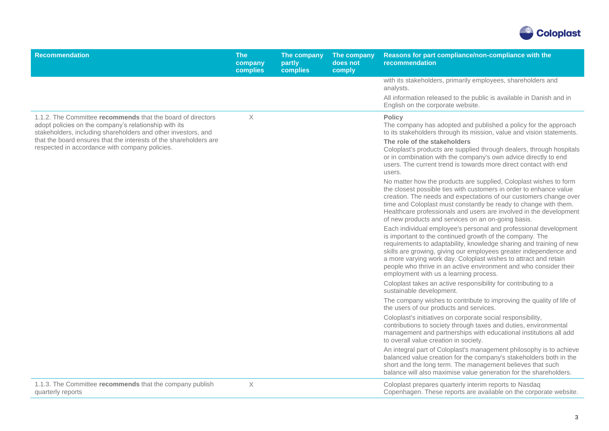

| <b>Recommendation</b>                                                                                                                                                                 | <b>The</b><br>company<br>complies | The company<br>partly<br>complies | The company<br>does not<br>comply | Reasons for part compliance/non-compliance with the<br>recommendation                                                                                                                                                                                                                                                                                                                                                                                      |
|---------------------------------------------------------------------------------------------------------------------------------------------------------------------------------------|-----------------------------------|-----------------------------------|-----------------------------------|------------------------------------------------------------------------------------------------------------------------------------------------------------------------------------------------------------------------------------------------------------------------------------------------------------------------------------------------------------------------------------------------------------------------------------------------------------|
|                                                                                                                                                                                       |                                   |                                   |                                   | with its stakeholders, primarily employees, shareholders and<br>analysts.                                                                                                                                                                                                                                                                                                                                                                                  |
|                                                                                                                                                                                       |                                   |                                   |                                   | All information released to the public is available in Danish and in<br>English on the corporate website.                                                                                                                                                                                                                                                                                                                                                  |
| 1.1.2. The Committee recommends that the board of directors<br>adopt policies on the company's relationship with its<br>stakeholders, including shareholders and other investors, and | $\times$                          |                                   |                                   | <b>Policy</b><br>The company has adopted and published a policy for the approach<br>to its stakeholders through its mission, value and vision statements.                                                                                                                                                                                                                                                                                                  |
| that the board ensures that the interests of the shareholders are<br>respected in accordance with company policies.                                                                   |                                   |                                   |                                   | The role of the stakeholders<br>Coloplast's products are supplied through dealers, through hospitals<br>or in combination with the company's own advice directly to end<br>users. The current trend is towards more direct contact with end<br>users.                                                                                                                                                                                                      |
|                                                                                                                                                                                       |                                   |                                   |                                   | No matter how the products are supplied, Coloplast wishes to form<br>the closest possible ties with customers in order to enhance value<br>creation. The needs and expectations of our customers change over<br>time and Coloplast must constantly be ready to change with them.<br>Healthcare professionals and users are involved in the development<br>of new products and services on an on-going basis.                                               |
|                                                                                                                                                                                       |                                   |                                   |                                   | Each individual employee's personal and professional development<br>is important to the continued growth of the company. The<br>requirements to adaptability, knowledge sharing and training of new<br>skills are growing, giving our employees greater independence and<br>a more varying work day. Coloplast wishes to attract and retain<br>people who thrive in an active environment and who consider their<br>employment with us a learning process. |
|                                                                                                                                                                                       |                                   |                                   |                                   | Coloplast takes an active responsibility for contributing to a<br>sustainable development.                                                                                                                                                                                                                                                                                                                                                                 |
|                                                                                                                                                                                       |                                   |                                   |                                   | The company wishes to contribute to improving the quality of life of<br>the users of our products and services.                                                                                                                                                                                                                                                                                                                                            |
|                                                                                                                                                                                       |                                   |                                   |                                   | Coloplast's initiatives on corporate social responsibility,<br>contributions to society through taxes and duties, environmental<br>management and partnerships with educational institutions all add<br>to overall value creation in society.                                                                                                                                                                                                              |
|                                                                                                                                                                                       |                                   |                                   |                                   | An integral part of Coloplast's management philosophy is to achieve<br>balanced value creation for the company's stakeholders both in the<br>short and the long term. The management believes that such<br>balance will also maximise value generation for the shareholders.                                                                                                                                                                               |
| 1.1.3. The Committee recommends that the company publish<br>quarterly reports                                                                                                         | X                                 |                                   |                                   | Coloplast prepares quarterly interim reports to Nasdaq<br>Copenhagen. These reports are available on the corporate website.                                                                                                                                                                                                                                                                                                                                |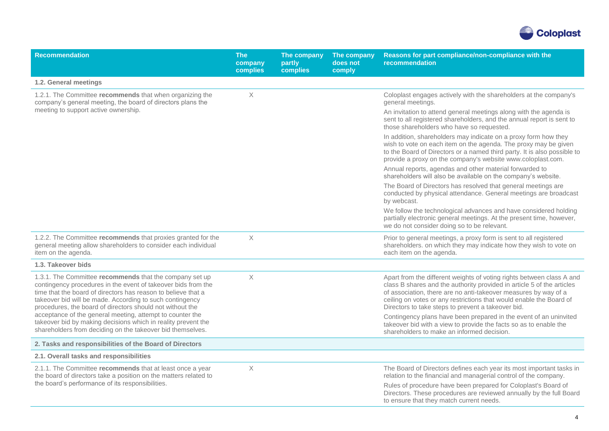

| <b>Recommendation</b>                                                                                                                                                                                                                                                                                              | <b>The</b><br>company<br>complies | The company<br>partly<br>complies | The company<br>does not<br>comply | Reasons for part compliance/non-compliance with the<br>recommendation                                                                                                                                                                                                                                                                           |
|--------------------------------------------------------------------------------------------------------------------------------------------------------------------------------------------------------------------------------------------------------------------------------------------------------------------|-----------------------------------|-----------------------------------|-----------------------------------|-------------------------------------------------------------------------------------------------------------------------------------------------------------------------------------------------------------------------------------------------------------------------------------------------------------------------------------------------|
| 1.2. General meetings                                                                                                                                                                                                                                                                                              |                                   |                                   |                                   |                                                                                                                                                                                                                                                                                                                                                 |
| 1.2.1. The Committee recommends that when organizing the<br>company's general meeting, the board of directors plans the                                                                                                                                                                                            | $\times$                          |                                   |                                   | Coloplast engages actively with the shareholders at the company's<br>general meetings.                                                                                                                                                                                                                                                          |
| meeting to support active ownership.                                                                                                                                                                                                                                                                               |                                   |                                   |                                   | An invitation to attend general meetings along with the agenda is<br>sent to all registered shareholders, and the annual report is sent to<br>those shareholders who have so requested.                                                                                                                                                         |
|                                                                                                                                                                                                                                                                                                                    |                                   |                                   |                                   | In addition, shareholders may indicate on a proxy form how they<br>wish to vote on each item on the agenda. The proxy may be given<br>to the Board of Directors or a named third party. It is also possible to<br>provide a proxy on the company's website www.coloplast.com.                                                                   |
|                                                                                                                                                                                                                                                                                                                    |                                   |                                   |                                   | Annual reports, agendas and other material forwarded to<br>shareholders will also be available on the company's website.                                                                                                                                                                                                                        |
|                                                                                                                                                                                                                                                                                                                    |                                   |                                   |                                   | The Board of Directors has resolved that general meetings are<br>conducted by physical attendance. General meetings are broadcast<br>by webcast.                                                                                                                                                                                                |
|                                                                                                                                                                                                                                                                                                                    |                                   |                                   |                                   | We follow the technological advances and have considered holding<br>partially electronic general meetings. At the present time, however,<br>we do not consider doing so to be relevant.                                                                                                                                                         |
| 1.2.2. The Committee recommends that proxies granted for the<br>general meeting allow shareholders to consider each individual<br>item on the agenda.                                                                                                                                                              | $\boldsymbol{\times}$             |                                   |                                   | Prior to general meetings, a proxy form is sent to all registered<br>shareholders. on which they may indicate how they wish to vote on<br>each item on the agenda.                                                                                                                                                                              |
| 1.3. Takeover bids                                                                                                                                                                                                                                                                                                 |                                   |                                   |                                   |                                                                                                                                                                                                                                                                                                                                                 |
| 1.3.1. The Committee recommends that the company set up<br>contingency procedures in the event of takeover bids from the<br>time that the board of directors has reason to believe that a<br>takeover bid will be made. According to such contingency<br>procedures, the board of directors should not without the | X                                 |                                   |                                   | Apart from the different weights of voting rights between class A and<br>class B shares and the authority provided in article 5 of the articles<br>of association, there are no anti-takeover measures by way of a<br>ceiling on votes or any restrictions that would enable the Board of<br>Directors to take steps to prevent a takeover bid. |
| acceptance of the general meeting, attempt to counter the<br>takeover bid by making decisions which in reality prevent the<br>shareholders from deciding on the takeover bid themselves.                                                                                                                           |                                   |                                   |                                   | Contingency plans have been prepared in the event of an uninvited<br>takeover bid with a view to provide the facts so as to enable the<br>shareholders to make an informed decision.                                                                                                                                                            |
| 2. Tasks and responsibilities of the Board of Directors                                                                                                                                                                                                                                                            |                                   |                                   |                                   |                                                                                                                                                                                                                                                                                                                                                 |
| 2.1. Overall tasks and responsibilities                                                                                                                                                                                                                                                                            |                                   |                                   |                                   |                                                                                                                                                                                                                                                                                                                                                 |
| 2.1.1. The Committee recommends that at least once a year<br>the board of directors take a position on the matters related to                                                                                                                                                                                      | X                                 |                                   |                                   | The Board of Directors defines each year its most important tasks in<br>relation to the financial and managerial control of the company.                                                                                                                                                                                                        |
| the board's performance of its responsibilities.                                                                                                                                                                                                                                                                   |                                   |                                   |                                   | Rules of procedure have been prepared for Coloplast's Board of<br>Directors. These procedures are reviewed annually by the full Board<br>to ensure that they match current needs.                                                                                                                                                               |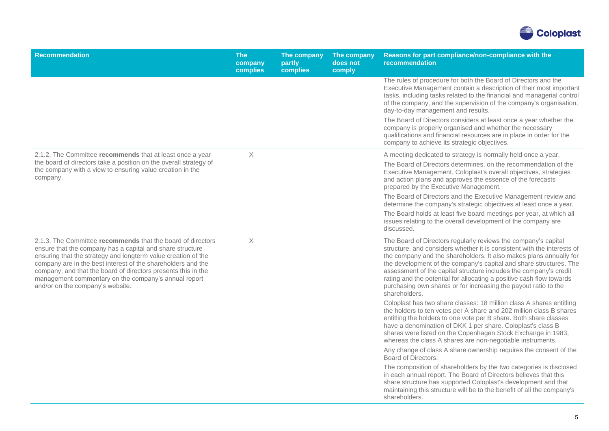

| <b>Recommendation</b>                                                                                                                                                                                                                                                                                                                                                                                                  | <b>The</b><br>company<br>complies | The company<br>partly<br>complies | The company<br>does not<br>comply | Reasons for part compliance/non-compliance with the<br>recommendation                                                                                                                                                                                                                                                                                                                                                                                                                                                                                                              |
|------------------------------------------------------------------------------------------------------------------------------------------------------------------------------------------------------------------------------------------------------------------------------------------------------------------------------------------------------------------------------------------------------------------------|-----------------------------------|-----------------------------------|-----------------------------------|------------------------------------------------------------------------------------------------------------------------------------------------------------------------------------------------------------------------------------------------------------------------------------------------------------------------------------------------------------------------------------------------------------------------------------------------------------------------------------------------------------------------------------------------------------------------------------|
|                                                                                                                                                                                                                                                                                                                                                                                                                        |                                   |                                   |                                   | The rules of procedure for both the Board of Directors and the<br>Executive Management contain a description of their most important<br>tasks, including tasks related to the financial and managerial control<br>of the company, and the supervision of the company's organisation,<br>day-to-day management and results.<br>The Board of Directors considers at least once a year whether the<br>company is properly organised and whether the necessary<br>qualifications and financial resources are in place in order for the<br>company to achieve its strategic objectives. |
| 2.1.2. The Committee recommends that at least once a year<br>the board of directors take a position on the overall strategy of<br>the company with a view to ensuring value creation in the<br>company.                                                                                                                                                                                                                | X                                 |                                   |                                   | A meeting dedicated to strategy is normally held once a year.<br>The Board of Directors determines, on the recommendation of the<br>Executive Management, Coloplast's overall objectives, strategies<br>and action plans and approves the essence of the forecasts<br>prepared by the Executive Management.                                                                                                                                                                                                                                                                        |
|                                                                                                                                                                                                                                                                                                                                                                                                                        |                                   |                                   |                                   | The Board of Directors and the Executive Management review and<br>determine the company's strategic objectives at least once a year.                                                                                                                                                                                                                                                                                                                                                                                                                                               |
|                                                                                                                                                                                                                                                                                                                                                                                                                        |                                   |                                   |                                   | The Board holds at least five board meetings per year, at which all<br>issues relating to the overall development of the company are<br>discussed.                                                                                                                                                                                                                                                                                                                                                                                                                                 |
| 2.1.3. The Committee recommends that the board of directors<br>ensure that the company has a capital and share structure<br>ensuring that the strategy and longterm value creation of the<br>company are in the best interest of the shareholders and the<br>company, and that the board of directors presents this in the<br>management commentary on the company's annual report<br>and/or on the company's website. | $\times$                          |                                   |                                   | The Board of Directors regularly reviews the company's capital<br>structure, and considers whether it is consistent with the interests of<br>the company and the shareholders. It also makes plans annually for<br>the development of the company's capital and share structures. The<br>assessment of the capital structure includes the company's credit<br>rating and the potential for allocating a positive cash flow towards<br>purchasing own shares or for increasing the payout ratio to the<br>shareholders.                                                             |
|                                                                                                                                                                                                                                                                                                                                                                                                                        |                                   |                                   |                                   | Coloplast has two share classes: 18 million class A shares entitling<br>the holders to ten votes per A share and 202 million class B shares<br>entitling the holders to one vote per B share. Both share classes<br>have a denomination of DKK 1 per share. Coloplast's class B<br>shares were listed on the Copenhagen Stock Exchange in 1983,<br>whereas the class A shares are non-negotiable instruments.                                                                                                                                                                      |
|                                                                                                                                                                                                                                                                                                                                                                                                                        |                                   |                                   |                                   | Any change of class A share ownership requires the consent of the<br>Board of Directors.                                                                                                                                                                                                                                                                                                                                                                                                                                                                                           |
|                                                                                                                                                                                                                                                                                                                                                                                                                        |                                   |                                   |                                   | The composition of shareholders by the two categories is disclosed<br>in each annual report. The Board of Directors believes that this<br>share structure has supported Coloplast's development and that<br>maintaining this structure will be to the benefit of all the company's<br>shareholders.                                                                                                                                                                                                                                                                                |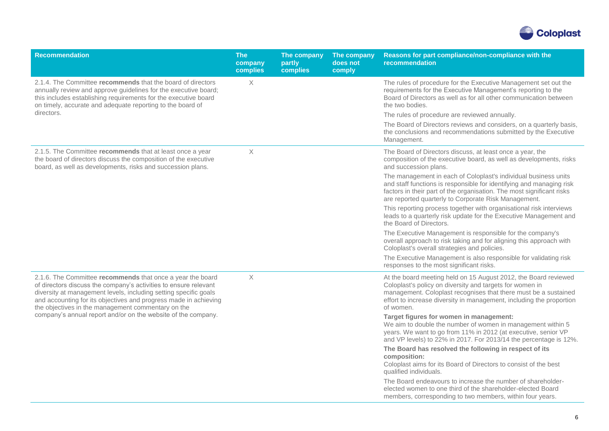

| <b>Recommendation</b>                                                                                                                                                                                                                                                                                                                                                                         | <b>The</b><br>company<br>complies | The company<br>partly<br>complies | The company<br>does not<br>comply | Reasons for part compliance/non-compliance with the<br>recommendation                                                                                                                                                                                                               |
|-----------------------------------------------------------------------------------------------------------------------------------------------------------------------------------------------------------------------------------------------------------------------------------------------------------------------------------------------------------------------------------------------|-----------------------------------|-----------------------------------|-----------------------------------|-------------------------------------------------------------------------------------------------------------------------------------------------------------------------------------------------------------------------------------------------------------------------------------|
| 2.1.4. The Committee recommends that the board of directors<br>annually review and approve guidelines for the executive board;<br>this includes establishing requirements for the executive board<br>on timely, accurate and adequate reporting to the board of                                                                                                                               | $\times$                          |                                   |                                   | The rules of procedure for the Executive Management set out the<br>requirements for the Executive Management's reporting to the<br>Board of Directors as well as for all other communication between<br>the two bodies.                                                             |
| directors.                                                                                                                                                                                                                                                                                                                                                                                    |                                   |                                   |                                   | The rules of procedure are reviewed annually.                                                                                                                                                                                                                                       |
|                                                                                                                                                                                                                                                                                                                                                                                               |                                   |                                   |                                   | The Board of Directors reviews and considers, on a quarterly basis,<br>the conclusions and recommendations submitted by the Executive<br>Management.                                                                                                                                |
| 2.1.5. The Committee recommends that at least once a year<br>the board of directors discuss the composition of the executive<br>board, as well as developments, risks and succession plans.                                                                                                                                                                                                   | $\mathsf X$                       |                                   |                                   | The Board of Directors discuss, at least once a year, the<br>composition of the executive board, as well as developments, risks<br>and succession plans.                                                                                                                            |
|                                                                                                                                                                                                                                                                                                                                                                                               |                                   |                                   |                                   | The management in each of Coloplast's individual business units<br>and staff functions is responsible for identifying and managing risk<br>factors in their part of the organisation. The most significant risks<br>are reported quarterly to Corporate Risk Management.            |
|                                                                                                                                                                                                                                                                                                                                                                                               |                                   |                                   |                                   | This reporting process together with organisational risk interviews<br>leads to a quarterly risk update for the Executive Management and<br>the Board of Directors.                                                                                                                 |
|                                                                                                                                                                                                                                                                                                                                                                                               |                                   |                                   |                                   | The Executive Management is responsible for the company's<br>overall approach to risk taking and for aligning this approach with<br>Coloplast's overall strategies and policies.                                                                                                    |
|                                                                                                                                                                                                                                                                                                                                                                                               |                                   |                                   |                                   | The Executive Management is also responsible for validating risk<br>responses to the most significant risks.                                                                                                                                                                        |
| 2.1.6. The Committee recommends that once a year the board<br>of directors discuss the company's activities to ensure relevant<br>diversity at management levels, including setting specific goals<br>and accounting for its objectives and progress made in achieving<br>the objectives in the management commentary on the<br>company's annual report and/or on the website of the company. | $\times$                          |                                   |                                   | At the board meeting held on 15 August 2012, the Board reviewed<br>Coloplast's policy on diversity and targets for women in<br>management. Coloplast recognises that there must be a sustained<br>effort to increase diversity in management, including the proportion<br>of women. |
|                                                                                                                                                                                                                                                                                                                                                                                               |                                   |                                   |                                   | Target figures for women in management:<br>We aim to double the number of women in management within 5<br>years. We want to go from 11% in 2012 (at executive, senior VP<br>and VP levels) to 22% in 2017. For 2013/14 the percentage is 12%.                                       |
|                                                                                                                                                                                                                                                                                                                                                                                               |                                   |                                   |                                   | The Board has resolved the following in respect of its<br>composition:<br>Coloplast aims for its Board of Directors to consist of the best<br>qualified individuals.                                                                                                                |
|                                                                                                                                                                                                                                                                                                                                                                                               |                                   |                                   |                                   | The Board endeavours to increase the number of shareholder-<br>elected women to one third of the shareholder-elected Board<br>members, corresponding to two members, within four years.                                                                                             |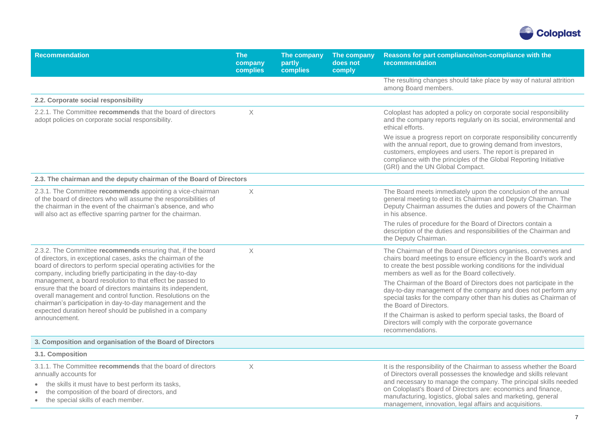

| <b>Recommendation</b>                                                                                                                                                                                                                                            | <b>The</b><br>company<br>complies | The company<br>partly<br><b>complies</b> | The company<br>does not<br>comply | Reasons for part compliance/non-compliance with the<br>recommendation                                                                                                                                                                                                                                                                                                                                     |
|------------------------------------------------------------------------------------------------------------------------------------------------------------------------------------------------------------------------------------------------------------------|-----------------------------------|------------------------------------------|-----------------------------------|-----------------------------------------------------------------------------------------------------------------------------------------------------------------------------------------------------------------------------------------------------------------------------------------------------------------------------------------------------------------------------------------------------------|
|                                                                                                                                                                                                                                                                  |                                   |                                          |                                   | The resulting changes should take place by way of natural attrition<br>among Board members.                                                                                                                                                                                                                                                                                                               |
| 2.2. Corporate social responsibility                                                                                                                                                                                                                             |                                   |                                          |                                   |                                                                                                                                                                                                                                                                                                                                                                                                           |
| 2.2.1. The Committee recommends that the board of directors<br>adopt policies on corporate social responsibility.                                                                                                                                                | $\times$                          |                                          |                                   | Coloplast has adopted a policy on corporate social responsibility<br>and the company reports regularly on its social, environmental and<br>ethical efforts.                                                                                                                                                                                                                                               |
|                                                                                                                                                                                                                                                                  |                                   |                                          |                                   | We issue a progress report on corporate responsibility concurrently<br>with the annual report, due to growing demand from investors,<br>customers, employees and users. The report is prepared in<br>compliance with the principles of the Global Reporting Initiative<br>(GRI) and the UN Global Compact.                                                                                                |
| 2.3. The chairman and the deputy chairman of the Board of Directors                                                                                                                                                                                              |                                   |                                          |                                   |                                                                                                                                                                                                                                                                                                                                                                                                           |
| 2.3.1. The Committee recommends appointing a vice-chairman<br>of the board of directors who will assume the responsibilities of<br>the chairman in the event of the chairman's absence, and who<br>will also act as effective sparring partner for the chairman. | $\times$                          |                                          |                                   | The Board meets immediately upon the conclusion of the annual<br>general meeting to elect its Chairman and Deputy Chairman. The<br>Deputy Chairman assumes the duties and powers of the Chairman<br>in his absence.                                                                                                                                                                                       |
|                                                                                                                                                                                                                                                                  |                                   |                                          |                                   | The rules of procedure for the Board of Directors contain a<br>description of the duties and responsibilities of the Chairman and<br>the Deputy Chairman.                                                                                                                                                                                                                                                 |
| 2.3.2. The Committee recommends ensuring that, if the board<br>of directors, in exceptional cases, asks the chairman of the<br>board of directors to perform special operating activities for the<br>company, including briefly participating in the day-to-day  | $\boldsymbol{\times}$             |                                          |                                   | The Chairman of the Board of Directors organises, convenes and<br>chairs board meetings to ensure efficiency in the Board's work and<br>to create the best possible working conditions for the individual<br>members as well as for the Board collectively.                                                                                                                                               |
| management, a board resolution to that effect be passed to<br>ensure that the board of directors maintains its independent,<br>overall management and control function. Resolutions on the<br>chairman's participation in day-to-day management and the          |                                   |                                          |                                   | The Chairman of the Board of Directors does not participate in the<br>day-to-day management of the company and does not perform any<br>special tasks for the company other than his duties as Chairman of<br>the Board of Directors.                                                                                                                                                                      |
| expected duration hereof should be published in a company<br>announcement.                                                                                                                                                                                       |                                   |                                          |                                   | If the Chairman is asked to perform special tasks, the Board of<br>Directors will comply with the corporate governance<br>recommendations.                                                                                                                                                                                                                                                                |
| 3. Composition and organisation of the Board of Directors                                                                                                                                                                                                        |                                   |                                          |                                   |                                                                                                                                                                                                                                                                                                                                                                                                           |
| 3.1. Composition                                                                                                                                                                                                                                                 |                                   |                                          |                                   |                                                                                                                                                                                                                                                                                                                                                                                                           |
| 3.1.1. The Committee recommends that the board of directors<br>annually accounts for<br>the skills it must have to best perform its tasks,<br>the composition of the board of directors, and<br>the special skills of each member.                               | $\times$                          |                                          |                                   | It is the responsibility of the Chairman to assess whether the Board<br>of Directors overall possesses the knowledge and skills relevant<br>and necessary to manage the company. The principal skills needed<br>on Coloplast's Board of Directors are: economics and finance,<br>manufacturing, logistics, global sales and marketing, general<br>management, innovation, legal affairs and acquisitions. |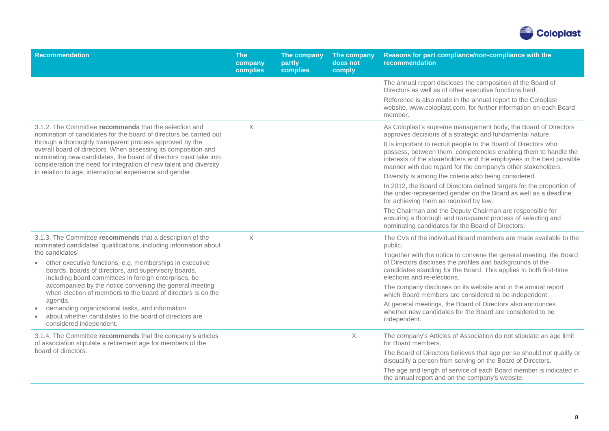

| <b>Recommendation</b>                                                                                                                                                                                                                                      | <b>The</b><br>company<br>complies | The company<br>partly<br>complies | The company<br>does not<br>comply | Reasons for part compliance/non-compliance with the<br>recommendation                                                                                                                                                                 |
|------------------------------------------------------------------------------------------------------------------------------------------------------------------------------------------------------------------------------------------------------------|-----------------------------------|-----------------------------------|-----------------------------------|---------------------------------------------------------------------------------------------------------------------------------------------------------------------------------------------------------------------------------------|
|                                                                                                                                                                                                                                                            |                                   |                                   |                                   | The annual report discloses the composition of the Board of<br>Directors as well as of other executive functions held.                                                                                                                |
|                                                                                                                                                                                                                                                            |                                   |                                   |                                   | Reference is also made in the annual report to the Coloplast<br>website, www.coloplast.com, for further information on each Board<br>member.                                                                                          |
| 3.1.2. The Committee recommends that the selection and<br>nomination of candidates for the board of directors be carried out<br>through a thoroughly transparent process approved by the<br>overall board of directors. When assessing its composition and | $\times$                          |                                   |                                   | As Coloplast's supreme management body, the Board of Directors<br>approves decisions of a strategic and fundamental nature.<br>It is important to recruit people to the Board of Directors who                                        |
| nominating new candidates, the board of directors must take into<br>consideration the need for integration of new talent and diversity                                                                                                                     |                                   |                                   |                                   | possess, between them, competencies enabling them to handle the<br>interests of the shareholders and the employees in the best possible<br>manner with due regard for the company's other stakeholders.                               |
| in relation to age, international experience and gender.                                                                                                                                                                                                   |                                   |                                   |                                   | Diversity is among the criteria also being considered.                                                                                                                                                                                |
|                                                                                                                                                                                                                                                            |                                   |                                   |                                   | In 2012, the Board of Directors defined targets for the proportion of<br>the under-represented gender on the Board as well as a deadline<br>for achieving them as required by law.                                                    |
|                                                                                                                                                                                                                                                            |                                   |                                   |                                   | The Chairman and the Deputy Chairman are responsible for<br>ensuring a thorough and transparent process of selecting and<br>nominating candidates for the Board of Directors.                                                         |
| 3.1.3. The Committee recommends that a description of the<br>nominated candidates' qualifications, including information about<br>the candidates'                                                                                                          | $\times$                          |                                   |                                   | The CVs of the individual Board members are made available to the<br>public.                                                                                                                                                          |
| other executive functions, e.g. memberships in executive<br>$\bullet$<br>boards, boards of directors, and supervisory boards,<br>including board committees in foreign enterprises, be                                                                     |                                   |                                   |                                   | Together with the notice to convene the general meeting, the Board<br>of Directors discloses the profiles and backgrounds of the<br>candidates standing for the Board. This applies to both first-time<br>elections and re-elections. |
| accompanied by the notice convening the general meeting<br>when election of members to the board of directors is on the                                                                                                                                    |                                   |                                   |                                   | The company discloses on its website and in the annual report<br>which Board members are considered to be independent.                                                                                                                |
| agenda.<br>demanding organizational tasks, and information<br>about whether candidates to the board of directors are<br>$\bullet$<br>considered independent.                                                                                               |                                   |                                   |                                   | At general meetings, the Board of Directors also announces<br>whether new candidates for the Board are considered to be<br>independent.                                                                                               |
| 3.1.4. The Committee recommends that the company's articles<br>of association stipulate a retirement age for members of the                                                                                                                                |                                   |                                   | $\mathsf X$                       | The company's Articles of Association do not stipulate an age limit<br>for Board members.                                                                                                                                             |
| board of directors.                                                                                                                                                                                                                                        |                                   |                                   |                                   | The Board of Directors believes that age per se should not qualify or<br>disqualify a person from serving on the Board of Directors.                                                                                                  |
|                                                                                                                                                                                                                                                            |                                   |                                   |                                   | The age and length of service of each Board member is indicated in<br>the annual report and on the company's website.                                                                                                                 |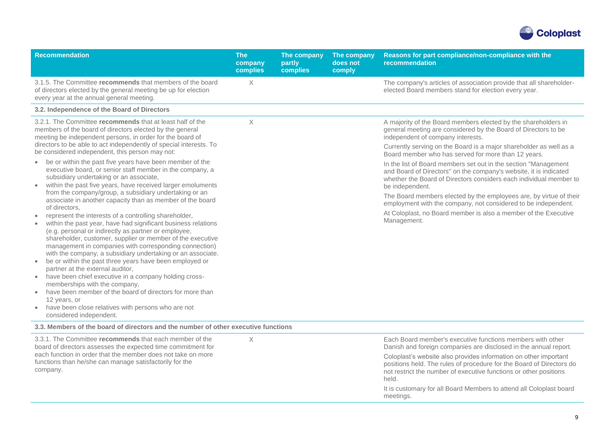

| <b>Recommendation</b>                                                                                                                                                                                                                                                                                                                                                                                                                                                                                                                                                                                                                                                                                                                                                                                                                                                                                                                                                                                                                                                                                                                         | <b>The</b><br>company<br>complies | The company<br>partly<br>complies | The company<br>does not<br>comply | Reasons for part compliance/non-compliance with the<br>recommendation                                                                                                                                                                                                                                                                                                                                                                                   |
|-----------------------------------------------------------------------------------------------------------------------------------------------------------------------------------------------------------------------------------------------------------------------------------------------------------------------------------------------------------------------------------------------------------------------------------------------------------------------------------------------------------------------------------------------------------------------------------------------------------------------------------------------------------------------------------------------------------------------------------------------------------------------------------------------------------------------------------------------------------------------------------------------------------------------------------------------------------------------------------------------------------------------------------------------------------------------------------------------------------------------------------------------|-----------------------------------|-----------------------------------|-----------------------------------|---------------------------------------------------------------------------------------------------------------------------------------------------------------------------------------------------------------------------------------------------------------------------------------------------------------------------------------------------------------------------------------------------------------------------------------------------------|
| 3.1.5. The Committee recommends that members of the board<br>of directors elected by the general meeting be up for election<br>every year at the annual general meeting.                                                                                                                                                                                                                                                                                                                                                                                                                                                                                                                                                                                                                                                                                                                                                                                                                                                                                                                                                                      | $\times$                          |                                   |                                   | The company's articles of association provide that all shareholder-<br>elected Board members stand for election every year.                                                                                                                                                                                                                                                                                                                             |
| 3.2. Independence of the Board of Directors                                                                                                                                                                                                                                                                                                                                                                                                                                                                                                                                                                                                                                                                                                                                                                                                                                                                                                                                                                                                                                                                                                   |                                   |                                   |                                   |                                                                                                                                                                                                                                                                                                                                                                                                                                                         |
| 3.2.1. The Committee recommends that at least half of the<br>members of the board of directors elected by the general<br>meeting be independent persons, in order for the board of<br>directors to be able to act independently of special interests. To<br>be considered independent, this person may not:                                                                                                                                                                                                                                                                                                                                                                                                                                                                                                                                                                                                                                                                                                                                                                                                                                   | $\times$                          |                                   |                                   | A majority of the Board members elected by the shareholders in<br>general meeting are considered by the Board of Directors to be<br>independent of company interests.<br>Currently serving on the Board is a major shareholder as well as a<br>Board member who has served for more than 12 years.                                                                                                                                                      |
| be or within the past five years have been member of the<br>$\bullet$<br>executive board, or senior staff member in the company, a<br>subsidiary undertaking or an associate,<br>within the past five years, have received larger emoluments<br>from the company/group, a subsidiary undertaking or an<br>associate in another capacity than as member of the board<br>of directors.<br>represent the interests of a controlling shareholder,<br>$\bullet$<br>within the past year, have had significant business relations<br>(e.g. personal or indirectly as partner or employee,<br>shareholder, customer, supplier or member of the executive<br>management in companies with corresponding connection)<br>with the company, a subsidiary undertaking or an associate.<br>be or within the past three years have been employed or<br>$\bullet$<br>partner at the external auditor,<br>have been chief executive in a company holding cross-<br>memberships with the company,<br>have been member of the board of directors for more than<br>12 years, or<br>have been close relatives with persons who are not<br>considered independent. |                                   |                                   |                                   | In the list of Board members set out in the section "Management<br>and Board of Directors" on the company's website, it is indicated<br>whether the Board of Directors considers each individual member to<br>be independent.<br>The Board members elected by the employees are, by virtue of their<br>employment with the company, not considered to be independent.<br>At Coloplast, no Board member is also a member of the Executive<br>Management. |
| 3.3. Members of the board of directors and the number of other executive functions                                                                                                                                                                                                                                                                                                                                                                                                                                                                                                                                                                                                                                                                                                                                                                                                                                                                                                                                                                                                                                                            |                                   |                                   |                                   |                                                                                                                                                                                                                                                                                                                                                                                                                                                         |
| 3.3.1. The Committee recommends that each member of the<br>board of directors assesses the expected time commitment for<br>each function in order that the member does not take on more<br>functions than he/she can manage satisfactorily for the                                                                                                                                                                                                                                                                                                                                                                                                                                                                                                                                                                                                                                                                                                                                                                                                                                                                                            | $\times$                          |                                   |                                   | Each Board member's executive functions members with other<br>Danish and foreign companies are disclosed in the annual report.<br>Coloplast's website also provides information on other important<br>positions held. The rules of procedure for the Board of Directors do                                                                                                                                                                              |
| company.                                                                                                                                                                                                                                                                                                                                                                                                                                                                                                                                                                                                                                                                                                                                                                                                                                                                                                                                                                                                                                                                                                                                      |                                   |                                   |                                   | not restrict the number of executive functions or other positions<br>held.                                                                                                                                                                                                                                                                                                                                                                              |

It is customary for all Board Members to attend all Coloplast board meetings.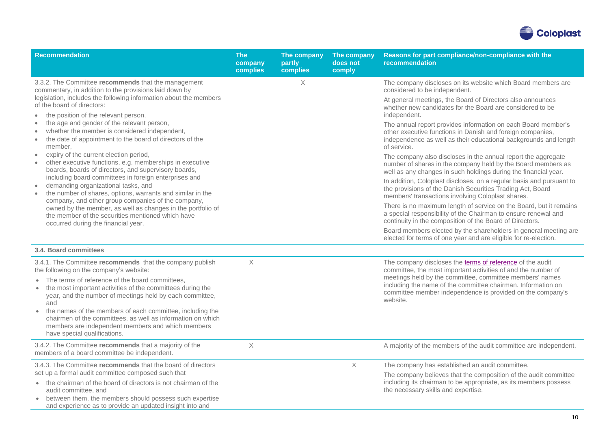

| <b>Recommendation</b>                                                                                                                                                                                                         | <b>The</b><br>company<br>complies | The company<br>partly<br>complies | The company<br>does not<br>comply | Reasons for part compliance/non-compliance with the<br>recommendation                                                                                                                                          |
|-------------------------------------------------------------------------------------------------------------------------------------------------------------------------------------------------------------------------------|-----------------------------------|-----------------------------------|-----------------------------------|----------------------------------------------------------------------------------------------------------------------------------------------------------------------------------------------------------------|
| 3.3.2. The Committee recommends that the management<br>commentary, in addition to the provisions laid down by                                                                                                                 |                                   | $\times$                          |                                   | The company discloses on its website which Board members are<br>considered to be independent.                                                                                                                  |
| legislation, includes the following information about the members<br>of the board of directors:                                                                                                                               |                                   |                                   |                                   | At general meetings, the Board of Directors also announces<br>whether new candidates for the Board are considered to be<br>independent.                                                                        |
| the position of the relevant person,<br>the age and gender of the relevant person,<br>whether the member is considered independent,<br>the date of appointment to the board of directors of the<br>member.                    |                                   |                                   |                                   | The annual report provides information on each Board member's<br>other executive functions in Danish and foreign companies,<br>independence as well as their educational backgrounds and length<br>of service. |
| expiry of the current election period,<br>$\bullet$<br>other executive functions, e.g. memberships in executive<br>$\bullet$<br>boards, boards of directors, and supervisory boards,                                          |                                   |                                   |                                   | The company also discloses in the annual report the aggregate<br>number of shares in the company held by the Board members as<br>well as any changes in such holdings during the financial year.               |
| including board committees in foreign enterprises and<br>demanding organizational tasks, and<br>$\bullet$<br>the number of shares, options, warrants and similar in the<br>company, and other group companies of the company, |                                   |                                   |                                   | In addition, Coloplast discloses, on a regular basis and pursuant to<br>the provisions of the Danish Securities Trading Act, Board<br>members' transactions involving Coloplast shares.                        |
| owned by the member, as well as changes in the portfolio of<br>the member of the securities mentioned which have<br>occurred during the financial year.                                                                       |                                   |                                   |                                   | There is no maximum length of service on the Board, but it remains<br>a special responsibility of the Chairman to ensure renewal and<br>continuity in the composition of the Board of Directors.               |
|                                                                                                                                                                                                                               |                                   |                                   |                                   | Board members elected by the shareholders in general meeting are<br>elected for terms of one year and are eligible for re-election.                                                                            |
| 3.4. Board committees                                                                                                                                                                                                         |                                   |                                   |                                   |                                                                                                                                                                                                                |
| 3.4.1. The Committee recommends that the company publish<br>the following on the company's website:                                                                                                                           | $\times$                          |                                   |                                   | The company discloses the terms of reference of the audit<br>committee, the most important activities of and the number of                                                                                     |
| The terms of reference of the board committees,<br>the most important activities of the committees during the<br>$\bullet$<br>year, and the number of meetings held by each committee,<br>and                                 |                                   |                                   |                                   | meetings held by the committee, committee members' names<br>including the name of the committee chairman. Information on<br>committee member independence is provided on the company's<br>website.             |
| the names of the members of each committee, including the<br>$\bullet$<br>chairmen of the committees, as well as information on which<br>members are independent members and which members<br>have special qualifications.    |                                   |                                   |                                   |                                                                                                                                                                                                                |
| 3.4.2. The Committee recommends that a majority of the<br>members of a board committee be independent.                                                                                                                        | $\times$                          |                                   |                                   | A majority of the members of the audit committee are independent.                                                                                                                                              |
| 3.4.3. The Committee recommends that the board of directors<br>set up a formal audit committee composed such that                                                                                                             |                                   |                                   | X                                 | The company has established an audit committee.<br>The company believes that the composition of the audit committee                                                                                            |
| • the chairman of the board of directors is not chairman of the<br>audit committee, and<br>between them, the members should possess such expertise<br>$\bullet$<br>and experience as to provide an updated insight into and   |                                   |                                   |                                   | including its chairman to be appropriate, as its members possess<br>the necessary skills and expertise.                                                                                                        |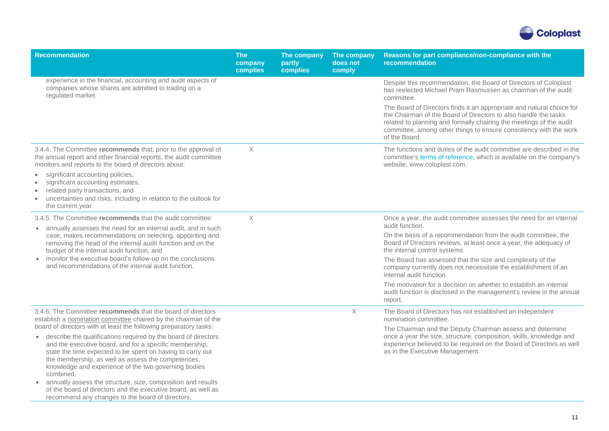

| <b>Recommendation</b>                                                                                                                                                                                                                                                                                                                                                                                                                                                                                                                                                                     | <b>The</b><br>company<br>complies | The company<br>partly<br>complies | The company<br>does not<br>comply | Reasons for part compliance/non-compliance with the<br>recommendation                                                                                                                                                                                                                                 |
|-------------------------------------------------------------------------------------------------------------------------------------------------------------------------------------------------------------------------------------------------------------------------------------------------------------------------------------------------------------------------------------------------------------------------------------------------------------------------------------------------------------------------------------------------------------------------------------------|-----------------------------------|-----------------------------------|-----------------------------------|-------------------------------------------------------------------------------------------------------------------------------------------------------------------------------------------------------------------------------------------------------------------------------------------------------|
| experience in the financial, accounting and audit aspects of<br>companies whose shares are admitted to trading on a<br>regulated market.                                                                                                                                                                                                                                                                                                                                                                                                                                                  |                                   |                                   |                                   | Despite this recommendation, the Board of Directors of Coloplast<br>has reelected Michael Pram Rasmussen as chairman of the audit<br>committee.                                                                                                                                                       |
|                                                                                                                                                                                                                                                                                                                                                                                                                                                                                                                                                                                           |                                   |                                   |                                   | The Board of Directors finds it an appropriate and natural choice for<br>the Chairman of the Board of Directors to also handle the tasks<br>related to planning and formally chairing the meetings of the audit<br>committee, among other things to ensure consistency with the work<br>of the Board. |
| 3.4.4. The Committee recommends that, prior to the approval of<br>the annual report and other financial reports, the audit committee<br>monitors and reports to the board of directors about:                                                                                                                                                                                                                                                                                                                                                                                             | $\times$                          |                                   |                                   | The functions and duties of the audit committee are described in the<br>committee's terms of reference, which is available on the company's<br>website, www.coloplast.com.                                                                                                                            |
| significant accounting policies,<br>$\bullet$<br>significant accounting estimates,<br>related party transactions, and<br>uncertainties and risks, including in relation to the outlook for<br>$\bullet$<br>the current year.                                                                                                                                                                                                                                                                                                                                                              |                                   |                                   |                                   |                                                                                                                                                                                                                                                                                                       |
| 3.4.5. The Committee recommends that the audit committee:                                                                                                                                                                                                                                                                                                                                                                                                                                                                                                                                 | $\times$                          |                                   |                                   | Once a year, the audit committee assesses the need for an internal                                                                                                                                                                                                                                    |
| annually assesses the need for an internal audit, and in such<br>case, makes recommendations on selecting, appointing and<br>removing the head of the internal audit function and on the<br>budget of the internal audit function, and                                                                                                                                                                                                                                                                                                                                                    |                                   |                                   |                                   | audit function.<br>On the basis of a recommendation from the audit committee, the<br>Board of Directors reviews, at least once a year, the adequacy of<br>the internal control systems.                                                                                                               |
| • monitor the executive board's follow-up on the conclusions<br>and recommendations of the internal audit function.                                                                                                                                                                                                                                                                                                                                                                                                                                                                       |                                   |                                   |                                   | The Board has assessed that the size and complexity of the<br>company currently does not necessitate the establishment of an<br>internal audit function.                                                                                                                                              |
|                                                                                                                                                                                                                                                                                                                                                                                                                                                                                                                                                                                           |                                   |                                   |                                   | The motivation for a decision on whether to establish an internal<br>audit function is disclosed in the management's review in the annual<br>report.                                                                                                                                                  |
| 3.4.6. The Committee recommends that the board of directors<br>establish a nomination committee chaired by the chairman of the                                                                                                                                                                                                                                                                                                                                                                                                                                                            |                                   |                                   | X                                 | The Board of Directors has not established an independent<br>nomination committee.                                                                                                                                                                                                                    |
| board of directors with at least the following preparatory tasks:<br>describe the qualifications required by the board of directors<br>$\bullet$<br>and the executive board, and for a specific membership,<br>state the time expected to be spent on having to carry out<br>the membership, as well as assess the competences,<br>knowledge and experience of the two governing bodies<br>combined,<br>annually assess the structure, size, composition and results<br>of the board of directors and the executive board, as well as<br>recommend any changes to the board of directors. |                                   |                                   |                                   | The Chairman and the Deputy Chairman assess and determine<br>once a year the size, structure, composition, skills, knowledge and<br>experience believed to be required on the Board of Directors as well<br>as in the Executive Management.                                                           |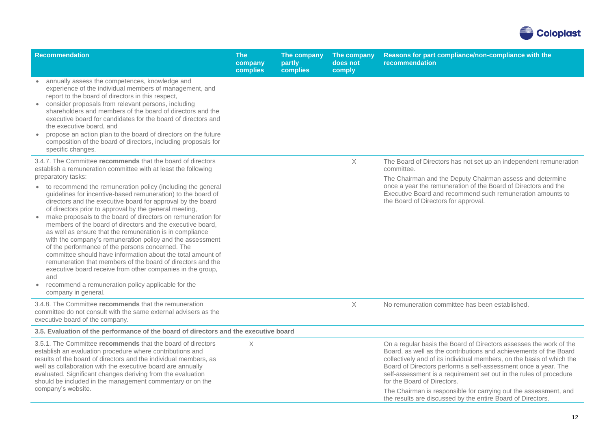

| <b>Recommendation</b>                                                                                                                                                                                                                                                                                                                                                                                                                                                                                                                                                                                                                                                                                                                                                                                                                               | <b>The</b><br>company<br>complies | The company<br>partly<br>complies | The company<br>does not<br>comply | Reasons for part compliance/non-compliance with the<br>recommendation                                                                                                                                                                                                                                                                                                                                                                                       |
|-----------------------------------------------------------------------------------------------------------------------------------------------------------------------------------------------------------------------------------------------------------------------------------------------------------------------------------------------------------------------------------------------------------------------------------------------------------------------------------------------------------------------------------------------------------------------------------------------------------------------------------------------------------------------------------------------------------------------------------------------------------------------------------------------------------------------------------------------------|-----------------------------------|-----------------------------------|-----------------------------------|-------------------------------------------------------------------------------------------------------------------------------------------------------------------------------------------------------------------------------------------------------------------------------------------------------------------------------------------------------------------------------------------------------------------------------------------------------------|
| annually assess the competences, knowledge and<br>experience of the individual members of management, and<br>report to the board of directors in this respect,<br>• consider proposals from relevant persons, including<br>shareholders and members of the board of directors and the<br>executive board for candidates for the board of directors and<br>the executive board, and<br>propose an action plan to the board of directors on the future<br>composition of the board of directors, including proposals for<br>specific changes.                                                                                                                                                                                                                                                                                                         |                                   |                                   |                                   |                                                                                                                                                                                                                                                                                                                                                                                                                                                             |
| 3.4.7. The Committee recommends that the board of directors<br>establish a remuneration committee with at least the following<br>preparatory tasks:                                                                                                                                                                                                                                                                                                                                                                                                                                                                                                                                                                                                                                                                                                 |                                   |                                   | X                                 | The Board of Directors has not set up an independent remuneration<br>committee.                                                                                                                                                                                                                                                                                                                                                                             |
| • to recommend the remuneration policy (including the general<br>guidelines for incentive-based remuneration) to the board of<br>directors and the executive board for approval by the board<br>of directors prior to approval by the general meeting,<br>make proposals to the board of directors on remuneration for<br>members of the board of directors and the executive board,<br>as well as ensure that the remuneration is in compliance<br>with the company's remuneration policy and the assessment<br>of the performance of the persons concerned. The<br>committee should have information about the total amount of<br>remuneration that members of the board of directors and the<br>executive board receive from other companies in the group,<br>and<br>• recommend a remuneration policy applicable for the<br>company in general. |                                   |                                   |                                   | The Chairman and the Deputy Chairman assess and determine<br>once a year the remuneration of the Board of Directors and the<br>Executive Board and recommend such remuneration amounts to<br>the Board of Directors for approval.                                                                                                                                                                                                                           |
| 3.4.8. The Committee recommends that the remuneration<br>committee do not consult with the same external advisers as the<br>executive board of the company.                                                                                                                                                                                                                                                                                                                                                                                                                                                                                                                                                                                                                                                                                         |                                   |                                   | X                                 | No remuneration committee has been established.                                                                                                                                                                                                                                                                                                                                                                                                             |
| 3.5. Evaluation of the performance of the board of directors and the executive board                                                                                                                                                                                                                                                                                                                                                                                                                                                                                                                                                                                                                                                                                                                                                                |                                   |                                   |                                   |                                                                                                                                                                                                                                                                                                                                                                                                                                                             |
| 3.5.1. The Committee recommends that the board of directors<br>establish an evaluation procedure where contributions and<br>results of the board of directors and the individual members, as<br>well as collaboration with the executive board are annually<br>evaluated. Significant changes deriving from the evaluation<br>should be included in the management commentary or on the<br>company's website.                                                                                                                                                                                                                                                                                                                                                                                                                                       | $\times$                          |                                   |                                   | On a regular basis the Board of Directors assesses the work of the<br>Board, as well as the contributions and achievements of the Board<br>collectively and of its individual members, on the basis of which the<br>Board of Directors performs a self-assessment once a year. The<br>self-assessment is a requirement set out in the rules of procedure<br>for the Board of Directors.<br>The Chairman is responsible for carrying out the assessment, and |
|                                                                                                                                                                                                                                                                                                                                                                                                                                                                                                                                                                                                                                                                                                                                                                                                                                                     |                                   |                                   |                                   | the results are discussed by the entire Board of Directors.                                                                                                                                                                                                                                                                                                                                                                                                 |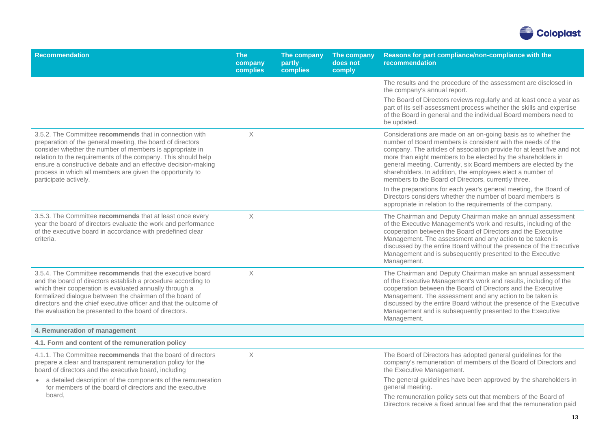

| <b>Recommendation</b>                                                                                                                                                                                                                                                                                                                                                                                     | <b>The</b><br>company<br>complies | The company<br>partly<br>complies | The company<br>does not<br>comply | Reasons for part compliance/non-compliance with the<br>recommendation                                                                                                                                                                                                                                                                                                                                                                                            |
|-----------------------------------------------------------------------------------------------------------------------------------------------------------------------------------------------------------------------------------------------------------------------------------------------------------------------------------------------------------------------------------------------------------|-----------------------------------|-----------------------------------|-----------------------------------|------------------------------------------------------------------------------------------------------------------------------------------------------------------------------------------------------------------------------------------------------------------------------------------------------------------------------------------------------------------------------------------------------------------------------------------------------------------|
|                                                                                                                                                                                                                                                                                                                                                                                                           |                                   |                                   |                                   | The results and the procedure of the assessment are disclosed in<br>the company's annual report.                                                                                                                                                                                                                                                                                                                                                                 |
|                                                                                                                                                                                                                                                                                                                                                                                                           |                                   |                                   |                                   | The Board of Directors reviews regularly and at least once a year as<br>part of its self-assessment process whether the skills and expertise<br>of the Board in general and the individual Board members need to<br>be updated.                                                                                                                                                                                                                                  |
| 3.5.2. The Committee recommends that in connection with<br>preparation of the general meeting, the board of directors<br>consider whether the number of members is appropriate in<br>relation to the requirements of the company. This should help<br>ensure a constructive debate and an effective decision-making<br>process in which all members are given the opportunity to<br>participate actively. | $\times$                          |                                   |                                   | Considerations are made on an on-going basis as to whether the<br>number of Board members is consistent with the needs of the<br>company. The articles of association provide for at least five and not<br>more than eight members to be elected by the shareholders in<br>general meeting. Currently, six Board members are elected by the<br>shareholders. In addition, the employees elect a number of<br>members to the Board of Directors, currently three. |
|                                                                                                                                                                                                                                                                                                                                                                                                           |                                   |                                   |                                   | In the preparations for each year's general meeting, the Board of<br>Directors considers whether the number of board members is<br>appropriate in relation to the requirements of the company.                                                                                                                                                                                                                                                                   |
| 3.5.3. The Committee recommends that at least once every<br>year the board of directors evaluate the work and performance<br>of the executive board in accordance with predefined clear<br>criteria.                                                                                                                                                                                                      | $\times$                          |                                   |                                   | The Chairman and Deputy Chairman make an annual assessment<br>of the Executive Management's work and results, including of the<br>cooperation between the Board of Directors and the Executive<br>Management. The assessment and any action to be taken is<br>discussed by the entire Board without the presence of the Executive<br>Management and is subsequently presented to the Executive<br>Management.                                                    |
| 3.5.4. The Committee recommends that the executive board<br>and the board of directors establish a procedure according to<br>which their cooperation is evaluated annually through a<br>formalized dialogue between the chairman of the board of<br>directors and the chief executive officer and that the outcome of<br>the evaluation be presented to the board of directors.                           | $\times$                          |                                   |                                   | The Chairman and Deputy Chairman make an annual assessment<br>of the Executive Management's work and results, including of the<br>cooperation between the Board of Directors and the Executive<br>Management. The assessment and any action to be taken is<br>discussed by the entire Board without the presence of the Executive<br>Management and is subsequently presented to the Executive<br>Management.                                                    |
| 4. Remuneration of management                                                                                                                                                                                                                                                                                                                                                                             |                                   |                                   |                                   |                                                                                                                                                                                                                                                                                                                                                                                                                                                                  |
| 4.1. Form and content of the remuneration policy                                                                                                                                                                                                                                                                                                                                                          |                                   |                                   |                                   |                                                                                                                                                                                                                                                                                                                                                                                                                                                                  |
| 4.1.1. The Committee recommends that the board of directors<br>prepare a clear and transparent remuneration policy for the<br>board of directors and the executive board, including                                                                                                                                                                                                                       | $\times$                          |                                   |                                   | The Board of Directors has adopted general guidelines for the<br>company's remuneration of members of the Board of Directors and<br>the Executive Management.                                                                                                                                                                                                                                                                                                    |
| • a detailed description of the components of the remuneration<br>for members of the board of directors and the executive                                                                                                                                                                                                                                                                                 |                                   |                                   |                                   | The general guidelines have been approved by the shareholders in<br>general meeting.                                                                                                                                                                                                                                                                                                                                                                             |
| board,                                                                                                                                                                                                                                                                                                                                                                                                    |                                   |                                   |                                   | The remuneration policy sets out that members of the Board of<br>Directors receive a fixed annual fee and that the remuneration paid                                                                                                                                                                                                                                                                                                                             |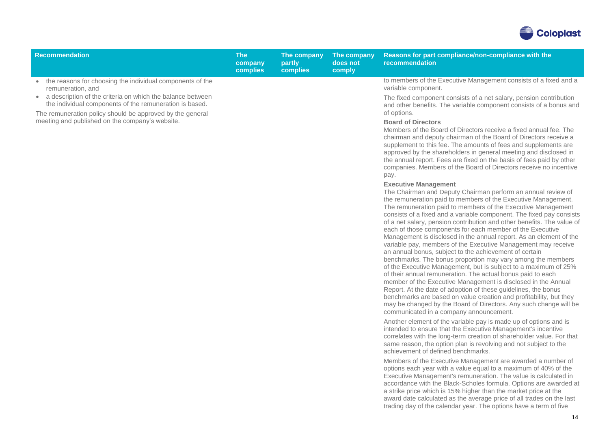

| Recommendation                                                                                                                                                                                                                                                                                                              | <b>The</b><br>company<br><b>complies</b> | The company<br>partly<br><b>complies</b> | The company<br>does not<br>comply | Reasons for part compliance/non-compliance with the<br>recommendation                                                                                                                                                                                                                                                                                                                                                                                                                                                                                                                                                                                                                                                                                                                                                                                                                                                                                                                                                                                                                                                                                                                                                                                                                                                                                                                                                                                                                                                                                                                                                                                                                                                                                                                                                                                                                          |
|-----------------------------------------------------------------------------------------------------------------------------------------------------------------------------------------------------------------------------------------------------------------------------------------------------------------------------|------------------------------------------|------------------------------------------|-----------------------------------|------------------------------------------------------------------------------------------------------------------------------------------------------------------------------------------------------------------------------------------------------------------------------------------------------------------------------------------------------------------------------------------------------------------------------------------------------------------------------------------------------------------------------------------------------------------------------------------------------------------------------------------------------------------------------------------------------------------------------------------------------------------------------------------------------------------------------------------------------------------------------------------------------------------------------------------------------------------------------------------------------------------------------------------------------------------------------------------------------------------------------------------------------------------------------------------------------------------------------------------------------------------------------------------------------------------------------------------------------------------------------------------------------------------------------------------------------------------------------------------------------------------------------------------------------------------------------------------------------------------------------------------------------------------------------------------------------------------------------------------------------------------------------------------------------------------------------------------------------------------------------------------------|
| • the reasons for choosing the individual components of the<br>remuneration, and<br>• a description of the criteria on which the balance between<br>the individual components of the remuneration is based.<br>The remuneration policy should be approved by the general<br>meeting and published on the company's website. |                                          |                                          |                                   | to members of the Executive Management consists of a fixed and a<br>variable component.<br>The fixed component consists of a net salary, pension contribution<br>and other benefits. The variable component consists of a bonus and<br>of options.<br><b>Board of Directors</b><br>Members of the Board of Directors receive a fixed annual fee. The<br>chairman and deputy chairman of the Board of Directors receive a<br>supplement to this fee. The amounts of fees and supplements are<br>approved by the shareholders in general meeting and disclosed in<br>the annual report. Fees are fixed on the basis of fees paid by other<br>companies. Members of the Board of Directors receive no incentive<br>pay.<br><b>Executive Management</b><br>The Chairman and Deputy Chairman perform an annual review of<br>the remuneration paid to members of the Executive Management.<br>The remuneration paid to members of the Executive Management<br>consists of a fixed and a variable component. The fixed pay consists<br>of a net salary, pension contribution and other benefits. The value of<br>each of those components for each member of the Executive<br>Management is disclosed in the annual report. As an element of the<br>variable pay, members of the Executive Management may receive<br>an annual bonus, subject to the achievement of certain<br>benchmarks. The bonus proportion may vary among the members<br>of the Executive Management, but is subject to a maximum of 25%<br>of their annual remuneration. The actual bonus paid to each<br>member of the Executive Management is disclosed in the Annual<br>Report. At the date of adoption of these guidelines, the bonus<br>benchmarks are based on value creation and profitability, but they<br>may be changed by the Board of Directors. Any such change will be<br>communicated in a company announcement. |
|                                                                                                                                                                                                                                                                                                                             |                                          |                                          |                                   | Another element of the variable pay is made up of options and is<br>intended to ensure that the Executive Management's incentive<br>correlates with the long-term creation of shareholder value. For that<br>same reason, the option plan is revolving and not subject to the<br>achievement of defined benchmarks.<br>Members of the Executive Management are awarded a number of                                                                                                                                                                                                                                                                                                                                                                                                                                                                                                                                                                                                                                                                                                                                                                                                                                                                                                                                                                                                                                                                                                                                                                                                                                                                                                                                                                                                                                                                                                             |
|                                                                                                                                                                                                                                                                                                                             |                                          |                                          |                                   | options each year with a value equal to a maximum of 40% of the<br>Executive Management's remuneration. The value is calculated in<br>accordance with the Black-Scholes formula. Options are awarded at<br>a strike price which is 15% higher than the market price at the<br>award date calculated as the average price of all trades on the last<br>trading day of the calendar year. The options have a term of five                                                                                                                                                                                                                                                                                                                                                                                                                                                                                                                                                                                                                                                                                                                                                                                                                                                                                                                                                                                                                                                                                                                                                                                                                                                                                                                                                                                                                                                                        |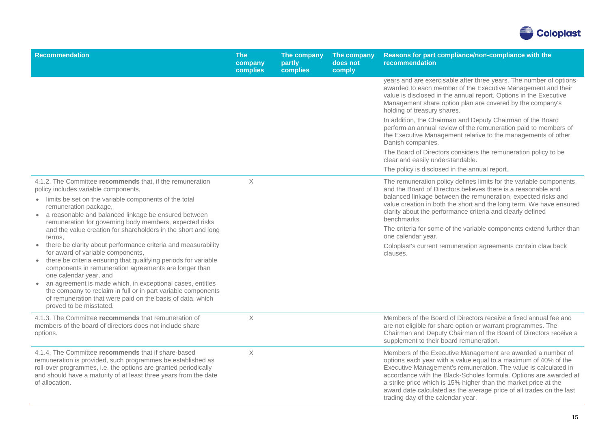

| <b>Recommendation</b>                                                                                                                                                                                                                                                                                                                                                                                                                                                                                                                                                                                                                                                                                                                                                                                                                                                           | <b>The</b><br>company<br>complies | The company<br>partly<br>complies | The company<br>does not<br>comply | Reasons for part compliance/non-compliance with the<br>recommendation                                                                                                                                                                                                                                                                                                                                                                                                                                                                |
|---------------------------------------------------------------------------------------------------------------------------------------------------------------------------------------------------------------------------------------------------------------------------------------------------------------------------------------------------------------------------------------------------------------------------------------------------------------------------------------------------------------------------------------------------------------------------------------------------------------------------------------------------------------------------------------------------------------------------------------------------------------------------------------------------------------------------------------------------------------------------------|-----------------------------------|-----------------------------------|-----------------------------------|--------------------------------------------------------------------------------------------------------------------------------------------------------------------------------------------------------------------------------------------------------------------------------------------------------------------------------------------------------------------------------------------------------------------------------------------------------------------------------------------------------------------------------------|
|                                                                                                                                                                                                                                                                                                                                                                                                                                                                                                                                                                                                                                                                                                                                                                                                                                                                                 |                                   |                                   |                                   | years and are exercisable after three years. The number of options<br>awarded to each member of the Executive Management and their<br>value is disclosed in the annual report. Options in the Executive<br>Management share option plan are covered by the company's<br>holding of treasury shares.<br>In addition, the Chairman and Deputy Chairman of the Board<br>perform an annual review of the remuneration paid to members of                                                                                                 |
|                                                                                                                                                                                                                                                                                                                                                                                                                                                                                                                                                                                                                                                                                                                                                                                                                                                                                 |                                   |                                   |                                   | the Executive Management relative to the managements of other<br>Danish companies.                                                                                                                                                                                                                                                                                                                                                                                                                                                   |
|                                                                                                                                                                                                                                                                                                                                                                                                                                                                                                                                                                                                                                                                                                                                                                                                                                                                                 |                                   |                                   |                                   | The Board of Directors considers the remuneration policy to be<br>clear and easily understandable.                                                                                                                                                                                                                                                                                                                                                                                                                                   |
|                                                                                                                                                                                                                                                                                                                                                                                                                                                                                                                                                                                                                                                                                                                                                                                                                                                                                 |                                   |                                   |                                   | The policy is disclosed in the annual report.                                                                                                                                                                                                                                                                                                                                                                                                                                                                                        |
| 4.1.2. The Committee recommends that, if the remuneration<br>policy includes variable components,<br>• limits be set on the variable components of the total<br>remuneration package,<br>• a reasonable and balanced linkage be ensured between<br>remuneration for governing body members, expected risks<br>and the value creation for shareholders in the short and long<br>terms,<br>• there be clarity about performance criteria and measurability<br>for award of variable components,<br>• there be criteria ensuring that qualifying periods for variable<br>components in remuneration agreements are longer than<br>one calendar year, and<br>• an agreement is made which, in exceptional cases, entitles<br>the company to reclaim in full or in part variable components<br>of remuneration that were paid on the basis of data, which<br>proved to be misstated. | X                                 |                                   |                                   | The remuneration policy defines limits for the variable components,<br>and the Board of Directors believes there is a reasonable and<br>balanced linkage between the remuneration, expected risks and<br>value creation in both the short and the long term. We have ensured<br>clarity about the performance criteria and clearly defined<br>benchmarks.<br>The criteria for some of the variable components extend further than<br>one calendar year.<br>Coloplast's current remuneration agreements contain claw back<br>clauses. |
| 4.1.3. The Committee recommends that remuneration of<br>members of the board of directors does not include share<br>options.                                                                                                                                                                                                                                                                                                                                                                                                                                                                                                                                                                                                                                                                                                                                                    | X                                 |                                   |                                   | Members of the Board of Directors receive a fixed annual fee and<br>are not eligible for share option or warrant programmes. The<br>Chairman and Deputy Chairman of the Board of Directors receive a<br>supplement to their board remuneration.                                                                                                                                                                                                                                                                                      |
| 4.1.4. The Committee recommends that if share-based<br>remuneration is provided, such programmes be established as<br>roll-over programmes, i.e. the options are granted periodically<br>and should have a maturity of at least three years from the date<br>of allocation.                                                                                                                                                                                                                                                                                                                                                                                                                                                                                                                                                                                                     | X                                 |                                   |                                   | Members of the Executive Management are awarded a number of<br>options each year with a value equal to a maximum of 40% of the<br>Executive Management's remuneration. The value is calculated in<br>accordance with the Black-Scholes formula. Options are awarded at<br>a strike price which is 15% higher than the market price at the<br>award date calculated as the average price of all trades on the last<br>trading day of the calendar year.                                                                               |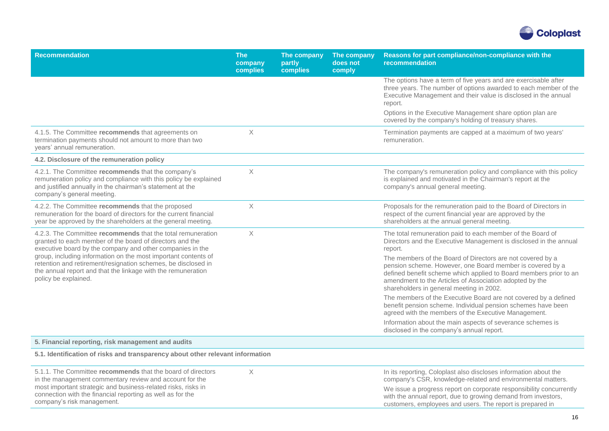

| <b>Recommendation</b>                                                                                                                                                                                                                                                                                                                                                                                           | <b>The</b><br>company<br>complies | The company<br>partly<br>complies | The company<br>does not<br>comply | Reasons for part compliance/non-compliance with the<br>recommendation                                                                                                                                                                                                                               |
|-----------------------------------------------------------------------------------------------------------------------------------------------------------------------------------------------------------------------------------------------------------------------------------------------------------------------------------------------------------------------------------------------------------------|-----------------------------------|-----------------------------------|-----------------------------------|-----------------------------------------------------------------------------------------------------------------------------------------------------------------------------------------------------------------------------------------------------------------------------------------------------|
|                                                                                                                                                                                                                                                                                                                                                                                                                 |                                   |                                   |                                   | The options have a term of five years and are exercisable after<br>three years. The number of options awarded to each member of the<br>Executive Management and their value is disclosed in the annual<br>report.                                                                                   |
|                                                                                                                                                                                                                                                                                                                                                                                                                 |                                   |                                   |                                   | Options in the Executive Management share option plan are<br>covered by the company's holding of treasury shares.                                                                                                                                                                                   |
| 4.1.5. The Committee recommends that agreements on<br>termination payments should not amount to more than two<br>years' annual remuneration.                                                                                                                                                                                                                                                                    | X                                 |                                   |                                   | Termination payments are capped at a maximum of two years'<br>remuneration.                                                                                                                                                                                                                         |
| 4.2. Disclosure of the remuneration policy                                                                                                                                                                                                                                                                                                                                                                      |                                   |                                   |                                   |                                                                                                                                                                                                                                                                                                     |
| 4.2.1. The Committee recommends that the company's<br>remuneration policy and compliance with this policy be explained<br>and justified annually in the chairman's statement at the<br>company's general meeting.                                                                                                                                                                                               | $\mathsf X$                       |                                   |                                   | The company's remuneration policy and compliance with this policy<br>is explained and motivated in the Chairman's report at the<br>company's annual general meeting.                                                                                                                                |
| 4.2.2. The Committee recommends that the proposed<br>remuneration for the board of directors for the current financial<br>year be approved by the shareholders at the general meeting.                                                                                                                                                                                                                          | $\mathsf X$                       |                                   |                                   | Proposals for the remuneration paid to the Board of Directors in<br>respect of the current financial year are approved by the<br>shareholders at the annual general meeting.                                                                                                                        |
| 4.2.3. The Committee recommends that the total remuneration<br>granted to each member of the board of directors and the<br>executive board by the company and other companies in the<br>group, including information on the most important contents of<br>retention and retirement/resignation schemes, be disclosed in<br>the annual report and that the linkage with the remuneration<br>policy be explained. | $\mathsf X$                       |                                   |                                   | The total remuneration paid to each member of the Board of<br>Directors and the Executive Management is disclosed in the annual<br>report.                                                                                                                                                          |
|                                                                                                                                                                                                                                                                                                                                                                                                                 |                                   |                                   |                                   | The members of the Board of Directors are not covered by a<br>pension scheme. However, one Board member is covered by a<br>defined benefit scheme which applied to Board members prior to an<br>amendment to the Articles of Association adopted by the<br>shareholders in general meeting in 2002. |
|                                                                                                                                                                                                                                                                                                                                                                                                                 |                                   |                                   |                                   | The members of the Executive Board are not covered by a defined<br>benefit pension scheme. Individual pension schemes have been<br>agreed with the members of the Executive Management.                                                                                                             |
|                                                                                                                                                                                                                                                                                                                                                                                                                 |                                   |                                   |                                   | Information about the main aspects of severance schemes is<br>disclosed in the company's annual report.                                                                                                                                                                                             |
| 5. Financial reporting, risk management and audits                                                                                                                                                                                                                                                                                                                                                              |                                   |                                   |                                   |                                                                                                                                                                                                                                                                                                     |
| 5.1. Identification of risks and transparency about other relevant information                                                                                                                                                                                                                                                                                                                                  |                                   |                                   |                                   |                                                                                                                                                                                                                                                                                                     |
| 5.1.1. The Committee recommends that the board of directors<br>in the management commentary review and account for the<br>most important strategic and business-related risks, risks in                                                                                                                                                                                                                         | $\times$                          |                                   |                                   | In its reporting, Coloplast also discloses information about the<br>company's CSR, knowledge-related and environmental matters.<br>We issue a progress report on corporate responsibility concurrently                                                                                              |
| connection with the financial reporting as well as for the                                                                                                                                                                                                                                                                                                                                                      |                                   |                                   |                                   | with the annual report due to growing demand from investors                                                                                                                                                                                                                                         |

company's risk management.

with the annual report, due to growing demand from investors, customers, employees and users. The report is prepared in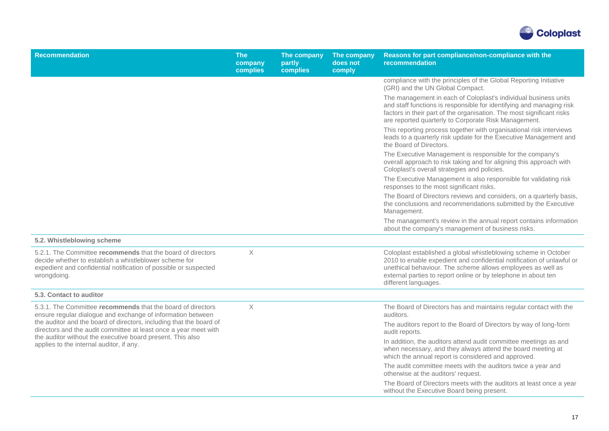

| <b>Recommendation</b>                                                                                                                                                                                                                                                                                                                                                           | <b>The</b><br>company<br>complies | The company<br>partly<br>complies | The company<br>does not<br>comply | Reasons for part compliance/non-compliance with the<br>recommendation                                                                                                                                                                                                                             |
|---------------------------------------------------------------------------------------------------------------------------------------------------------------------------------------------------------------------------------------------------------------------------------------------------------------------------------------------------------------------------------|-----------------------------------|-----------------------------------|-----------------------------------|---------------------------------------------------------------------------------------------------------------------------------------------------------------------------------------------------------------------------------------------------------------------------------------------------|
|                                                                                                                                                                                                                                                                                                                                                                                 |                                   |                                   |                                   | compliance with the principles of the Global Reporting Initiative<br>(GRI) and the UN Global Compact.                                                                                                                                                                                             |
|                                                                                                                                                                                                                                                                                                                                                                                 |                                   |                                   |                                   | The management in each of Coloplast's individual business units<br>and staff functions is responsible for identifying and managing risk<br>factors in their part of the organisation. The most significant risks<br>are reported quarterly to Corporate Risk Management.                          |
|                                                                                                                                                                                                                                                                                                                                                                                 |                                   |                                   |                                   | This reporting process together with organisational risk interviews<br>leads to a quarterly risk update for the Executive Management and<br>the Board of Directors.                                                                                                                               |
|                                                                                                                                                                                                                                                                                                                                                                                 |                                   |                                   |                                   | The Executive Management is responsible for the company's<br>overall approach to risk taking and for aligning this approach with<br>Coloplast's overall strategies and policies.                                                                                                                  |
|                                                                                                                                                                                                                                                                                                                                                                                 |                                   |                                   |                                   | The Executive Management is also responsible for validating risk<br>responses to the most significant risks.                                                                                                                                                                                      |
|                                                                                                                                                                                                                                                                                                                                                                                 |                                   |                                   |                                   | The Board of Directors reviews and considers, on a quarterly basis,<br>the conclusions and recommendations submitted by the Executive<br>Management.                                                                                                                                              |
|                                                                                                                                                                                                                                                                                                                                                                                 |                                   |                                   |                                   | The management's review in the annual report contains information<br>about the company's management of business risks.                                                                                                                                                                            |
| 5.2. Whistleblowing scheme                                                                                                                                                                                                                                                                                                                                                      |                                   |                                   |                                   |                                                                                                                                                                                                                                                                                                   |
| 5.2.1. The Committee recommends that the board of directors<br>decide whether to establish a whistleblower scheme for<br>expedient and confidential notification of possible or suspected<br>wrongdoing.                                                                                                                                                                        | $\times$                          |                                   |                                   | Coloplast established a global whistleblowing scheme in October<br>2010 to enable expedient and confidential notification of unlawful or<br>unethical behaviour. The scheme allows employees as well as<br>external parties to report online or by telephone in about ten<br>different languages. |
| 5.3. Contact to auditor                                                                                                                                                                                                                                                                                                                                                         |                                   |                                   |                                   |                                                                                                                                                                                                                                                                                                   |
| 5.3.1. The Committee recommends that the board of directors<br>ensure regular dialogue and exchange of information between<br>the auditor and the board of directors, including that the board of<br>directors and the audit committee at least once a year meet with<br>the auditor without the executive board present. This also<br>applies to the internal auditor, if any. | $\mathsf X$                       |                                   |                                   | The Board of Directors has and maintains regular contact with the<br>auditors.                                                                                                                                                                                                                    |
|                                                                                                                                                                                                                                                                                                                                                                                 |                                   |                                   |                                   | The auditors report to the Board of Directors by way of long-form<br>audit reports.                                                                                                                                                                                                               |
|                                                                                                                                                                                                                                                                                                                                                                                 |                                   |                                   |                                   | In addition, the auditors attend audit committee meetings as and<br>when necessary, and they always attend the board meeting at<br>which the annual report is considered and approved.                                                                                                            |
|                                                                                                                                                                                                                                                                                                                                                                                 |                                   |                                   |                                   | The audit committee meets with the auditors twice a year and<br>otherwise at the auditors' request.                                                                                                                                                                                               |
|                                                                                                                                                                                                                                                                                                                                                                                 |                                   |                                   |                                   | The Board of Directors meets with the auditors at least once a year<br>without the Executive Board being present.                                                                                                                                                                                 |